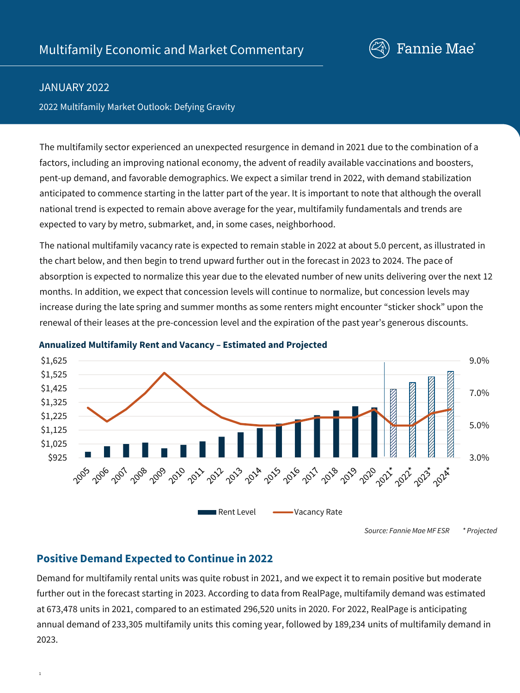

## JANUARY 2022

2022 Multifamily Market Outlook: Defying Gravity

The multifamily sector experienced an unexpected resurgence in demand in 2021 due to the combination of a factors, including an improving national economy, the advent of readily available vaccinations and boosters, pent-up demand, and favorable demographics. We expect a similar trend in 2022, with demand stabilization anticipated to commence starting in the latter part of the year. It is important to note that although the overall national trend is expected to remain above average for the year, multifamily fundamentals and trends are expected to vary by metro, submarket, and, in some cases, neighborhood.

The national multifamily vacancy rate is expected to remain stable in 2022 at about 5.0 percent, as illustrated in the chart below, and then begin to trend upward further out in the forecast in 2023 to 2024. The pace of absorption is expected to normalize this year due to the elevated number of new units delivering over the next 12 months. In addition, we expect that concession levels will continue to normalize, but concession levels may increase during the late spring and summer months as some renters might encounter "sticker shock" upon the renewal of their leases at the pre-concession level and the expiration of the past year's generous discounts.



#### **Annualized Multifamily Rent and Vacancy – Estimated and Projected**

## **Positive Demand Expected to Continue in 2022**

Demand for multifamily rental units was quite robust in 2021, and we expect it to remain positive but moderate further out in the forecast starting in 2023. According to data from RealPage, multifamily demand was estimated at 673,478 units in 2021, compared to an estimated 296,520 units in 2020. For 2022, RealPage is anticipating annual demand of 233,305 multifamily units this coming year, followed by 189,234 units of multifamily demand in 2023.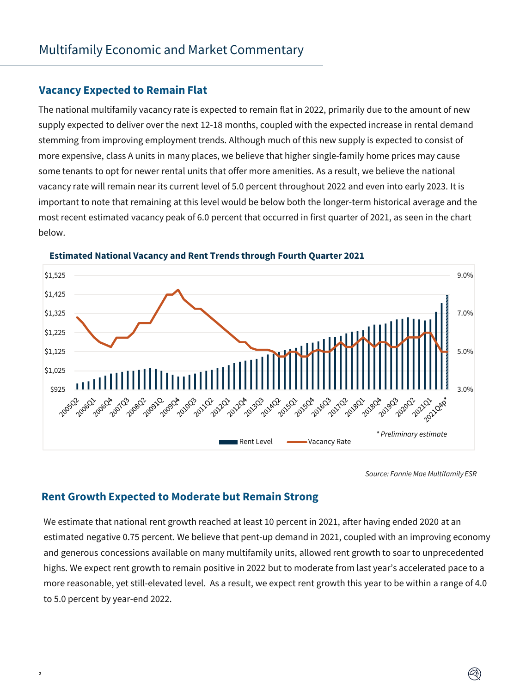## **Vacancy Expected to Remain Flat**

The national multifamily vacancy rate is expected to remain flat in 2022, primarily due to the amount of new supply expected to deliver over the next 12-18 months, coupled with the expected increase in rental demand stemming from improving employment trends. Although much of this new supply is expected to consist of more expensive, class A units in many places, we believe that higher single-family home prices may cause some tenants to opt for newer rental units that offer more amenities. As a result, we believe the national vacancy rate will remain near its current level of 5.0 percent throughout 2022 and even into early 2023. It is important to note that remaining at this level would be below both the longer-term historical average and the most recent estimated vacancy peak of 6.0 percent that occurred in first quarter of 2021, as seen in the chart below.



#### **Estimated National Vacancy and Rent Trends through Fourth Quarter 2021**

*Source: Fannie Mae Multifamily ESR*

## **Rent Growth Expected to Moderate but Remain Strong**

 $\overline{2}$ 

We estimate that national rent growth reached at least 10 percent in 2021, after having ended 2020 at an estimated negative 0.75 percent. We believe that pent-up demand in 2021, coupled with an improving economy and generous concessions available on many multifamily units, allowed rent growth to soar to unprecedented highs. We expect rent growth to remain positive in 2022 but to moderate from last year's accelerated pace to a more reasonable, yet still-elevated level. As a result, we expect rent growth this year to be within a range of 4.0 to 5.0 percent by year-end 2022.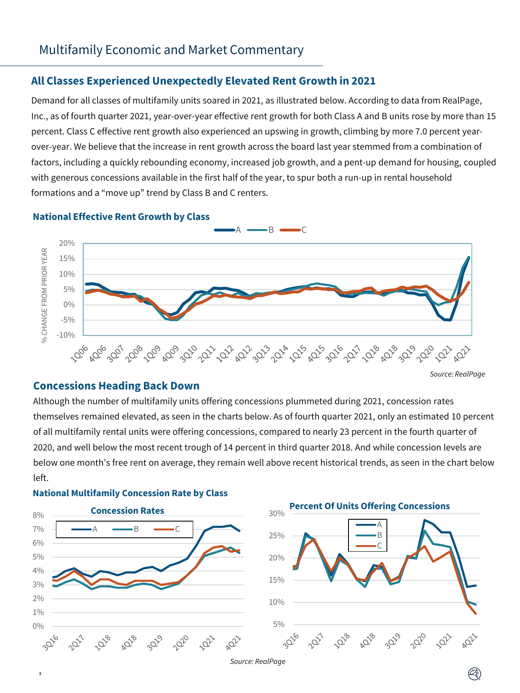## **All Classes Experienced Unexpectedly Elevated Rent Growth in 2021**

Demand for all classes of multifamily units soared in 2021, as illustrated below. According to data from RealPage, Inc., as of fourth quarter 2021, year-over-year effective rent growth for both Class A and B units rose by more than 15 percent. Class C effective rent growth also experienced an upswing in growth, climbing by more 7.0 percent yearover-year. We believe that the increase in rent growth across the board last year stemmed from a combination of factors, including a quickly rebounding economy, increased job growth, and a pent-up demand for housing, coupled with generous concessions available in the first half of the year, to spur both a run-up in rental household formations and a "move up" trend by Class B and C renters.

# $\overline{\phantom{a}}$  B  $\overline{\phantom{a}}$ 20% % CHANGE FROM PRIOR YEAR % CHANGE FROM PRIOR YEAR 15% 10% 5% 0% -5% -10% *^ర్క్లర్కుర్కు ర్క్రీంప్ 'ర్క్రీంప్ 'ర్క్రీర్క్ ర్క్ 'ర్క్ 'ర్క్రీర్, 'ర్క్ 'ర్క్ 'ర్క్ 'ర్క్ 'ర్క్ 'ర్క్ 'ర్క్ 'ర్క్ 'ర్క్*

*Source: RealPage*

# **National Effective Rent Growth by Class**

#### **Concessions Heading Back Down**

Although the number of multifamily units offering concessions plummeted during 2021, concession rates themselves remained elevated, as seen in the charts below. As of fourth quarter 2021, only an estimated 10 percent of all multifamily rental units were offering concessions, compared to nearly 23 percent in the fourth quarter of 2020, and well below the most recent trough of 14 percent in third quarter 2018. And while concession levels are below one month's free rent on average, they remain well above recent historical trends, as seen in the chart below left.



**National Multifamily Concession Rate by Class**

3

*Source: RealPage*

2020

1023

202

Q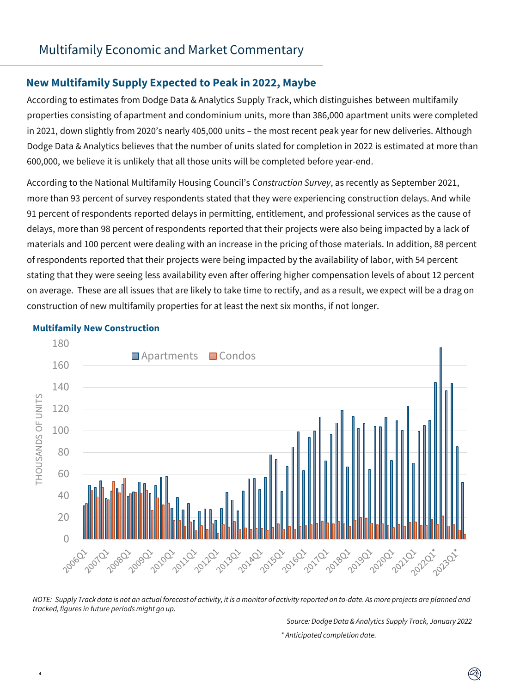## **New Multifamily Supply Expected to Peak in 2022, Maybe**

According to estimates from Dodge Data & Analytics Supply Track, which distinguishes between multifamily properties consisting of apartment and condominium units, more than 386,000 apartment units were completed in 2021, down slightly from 2020's nearly 405,000 units – the most recent peak year for new deliveries. Although Dodge Data & Analytics believes that the number of units slated for completion in 2022 is estimated at more than 600,000, we believe it is unlikely that all those units will be completed before year-end.

According to the National Multifamily Housing Council's *Construction Survey*, as recently as September 2021, more than 93 percent of survey respondents stated that they were experiencing construction delays. And while 91 percent of respondents reported delays in permitting, entitlement, and professional services as the cause of delays, more than 98 percent of respondents reported that their projects were also being impacted by a lack of materials and 100 percent were dealing with an increase in the pricing of those materials. In addition, 88 percent of respondents reported that their projects were being impacted by the availability of labor, with 54 percent stating that they were seeing less availability even after offering higher compensation levels of about 12 percent on average. These are all issues that are likely to take time to rectify, and as a result, we expect will be a drag on construction of new multifamily properties for at least the next six months, if not longer.



#### **Multifamily New Construction**

4

*NOTE: Supply Track data is not an actual forecast of activity, it is a monitor of activity reported on to-date. As more projects are planned and tracked, figures in future periods might go up.* 

> *Source: Dodge Data & Analytics Supply Track, January 2022 \* Anticipated completion date.*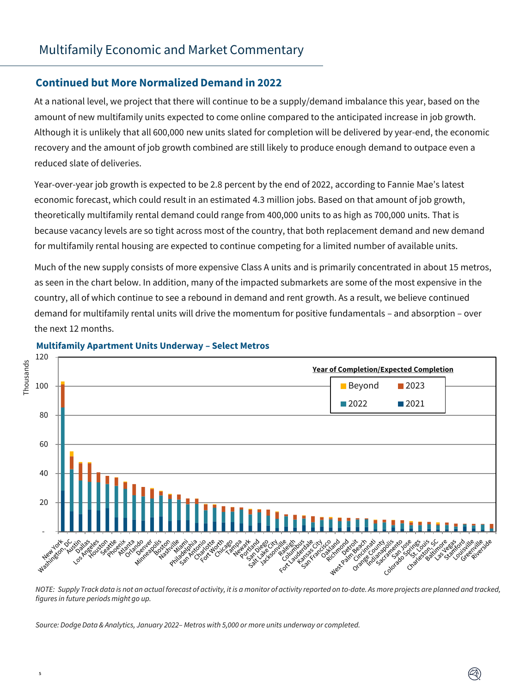## **Continued but More Normalized Demand in 2022**

At a national level, we project that there will continue to be a supply/demand imbalance this year, based on the amount of new multifamily units expected to come online compared to the anticipated increase in job growth. Although it is unlikely that all 600,000 new units slated for completion will be delivered by year-end, the economic recovery and the amount of job growth combined are still likely to produce enough demand to outpace even a reduced slate of deliveries.

Year-over-year job growth is expected to be 2.8 percent by the end of 2022, according to Fannie Mae's latest economic forecast, which could result in an estimated 4.3 million jobs. Based on that amount of job growth, theoretically multifamily rental demand could range from 400,000 units to as high as 700,000 units. That is because vacancy levels are so tight across most of the country, that both replacement demand and new demand for multifamily rental housing are expected to continue competing for a limited number of available units.

Much of the new supply consists of more expensive Class A units and is primarily concentrated in about 15 metros, as seen in the chart below. In addition, many of the impacted submarkets are some of the most expensive in the country, all of which continue to see a rebound in demand and rent growth. As a result, we believe continued demand for multifamily rental units will drive the momentum for positive fundamentals – and absorption – over the next 12 months.



#### **Multifamily Apartment Units Underway – Select Metros**

*NOTE: Supply Track data is not an actual forecast of activity, it is a monitor of activity reported on to-date. As more projects are planned and tracked, figures in future periods might go up.* 

*Source: DodgeData & Analytics, January 2022– Metros with 5,000 or more units underway or completed.*

5

Q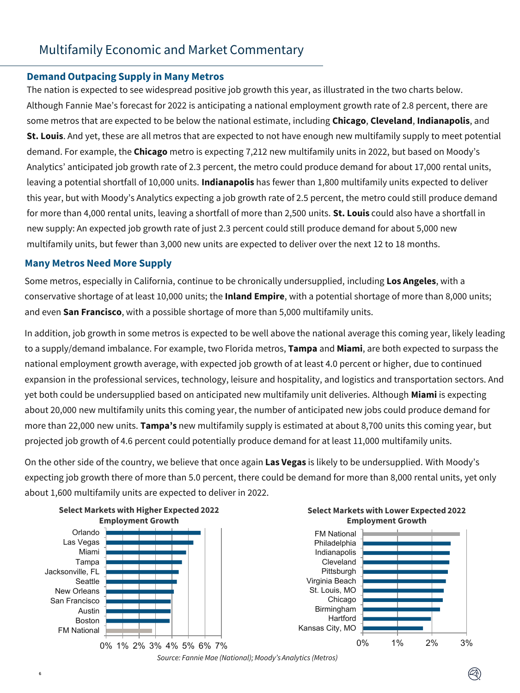#### **Demand Outpacing Supply in Many Metros**

The nation is expected to see widespread positive job growth this year, as illustrated in the two charts below. Although Fannie Mae's forecast for 2022 is anticipating a national employment growth rate of 2.8 percent, there are some metros that are expected to be below the national estimate, including **Chicago**, **Cleveland**, **Indianapolis**, and **St. Louis**. And yet, these are all metros that are expected to not have enough new multifamily supply to meet potential demand. For example, the **Chicago** metro is expecting 7,212 new multifamily units in 2022, but based on Moody's Analytics' anticipated job growth rate of 2.3 percent, the metro could produce demand for about 17,000 rental units, leaving a potential shortfall of 10,000 units. **Indianapolis** has fewer than 1,800 multifamily units expected to deliver this year, but with Moody's Analytics expecting a job growth rate of 2.5 percent, the metro could still produce demand for more than 4,000 rental units, leaving a shortfall of more than 2,500 units. **St. Louis** could also have a shortfall in new supply: An expected job growth rate of just 2.3 percent could still produce demand for about 5,000 new multifamily units, but fewer than 3,000 new units are expected to deliver over the next 12 to 18 months.

## **Many Metros Need More Supply**

6

Some metros, especially in California, continue to be chronically undersupplied, including **Los Angeles**, with a conservative shortage of at least 10,000 units; the **Inland Empire**, with a potential shortage of more than 8,000 units; and even **San Francisco**, with a possible shortage of more than 5,000 multifamily units.

In addition, job growth in some metros is expected to be well above the national average this coming year, likely leading to a supply/demand imbalance. For example, two Florida metros, **Tampa** and **Miami**, are both expected to surpass the national employment growth average, with expected job growth of at least 4.0 percent or higher, due to continued expansion in the professional services, technology, leisure and hospitality, and logistics and transportation sectors. And yet both could be undersupplied based on anticipated new multifamily unit deliveries. Although **Miami** is expecting about 20,000 new multifamily units this coming year, the number of anticipated new jobs could produce demand for more than 22,000 new units. **Tampa's** new multifamily supply is estimated at about 8,700 units this coming year, but projected job growth of 4.6 percent could potentially produce demand for at least 11,000 multifamily units.

On the other side of the country, we believe that once again **Las Vegas** is likely to be undersupplied. With Moody's expecting job growth there of more than 5.0 percent, there could be demand for more than 8,000 rental units, yet only about 1,600 multifamily units are expected to deliver in 2022.



*Source: Fannie Mae (National); Moody's Analytics (Metros)*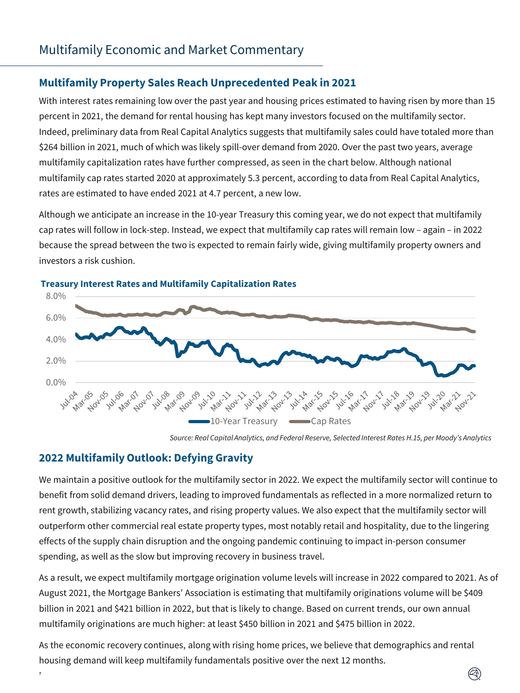## **Multifamily Property Sales Reach Unprecedented Peak in 2021**

With interest rates remaining low over the past year and housing prices estimated to having risen by more than 15 percent in 2021, the demand for rental housing has kept many investors focused on the multifamily sector. Indeed, preliminary data from Real Capital Analytics suggests that multifamily sales could have totaled more than \$264 billion in 2021, much of which was likely spill-over demand from 2020. Over the past two years, average multifamily capitalization rates have further compressed, as seen in the chart below. Although national multifamily cap rates started 2020 at approximately 5.3 percent, according to data from Real Capital Analytics, rates are estimated to have ended 2021 at 4.7 percent, a new low.

Although we anticipate an increase in the 10-year Treasury this coming year, we do not expect that multifamily cap rates will follow in lock-step. Instead, we expect that multifamily cap rates will remain low – again – in 2022 because the spread between the two is expected to remain fairly wide, giving multifamily property owners and investors a risk cushion.



## **Treasury Interest Rates and Multifamily Capitalization Rates**

*Source: Real Capital Analytics, and Federal Reserve, Selected Interest Rates H.15, per Moody's Analytics*

## **2022 Multifamily Outlook: Defying Gravity**

7

We maintain a positive outlook for the multifamily sector in 2022. We expect the multifamily sector will continue to benefit from solid demand drivers, leading to improved fundamentals as reflected in a more normalized return to rent growth, stabilizing vacancy rates, and rising property values. We also expect that the multifamily sector will outperform other commercial real estate property types, most notably retail and hospitality, due to the lingering effects of the supply chain disruption and the ongoing pandemic continuing to impact in-person consumer spending, as well as the slow but improving recovery in business travel.

As a result, we expect multifamily mortgage origination volume levels will increase in 2022 compared to 2021. As of August 2021, the Mortgage Bankers' Association is estimating that multifamily originations volume will be \$409 billion in 2021 and \$421 billion in 2022, but that is likely to change. Based on current trends, our own annual multifamily originations are much higher: at least \$450 billion in 2021 and \$475 billion in 2022.

As the economic recovery continues, along with rising home prices, we believe that demographics and rental housing demand will keep multifamily fundamentals positive over the next 12 months.

 $(\heartsuit)$